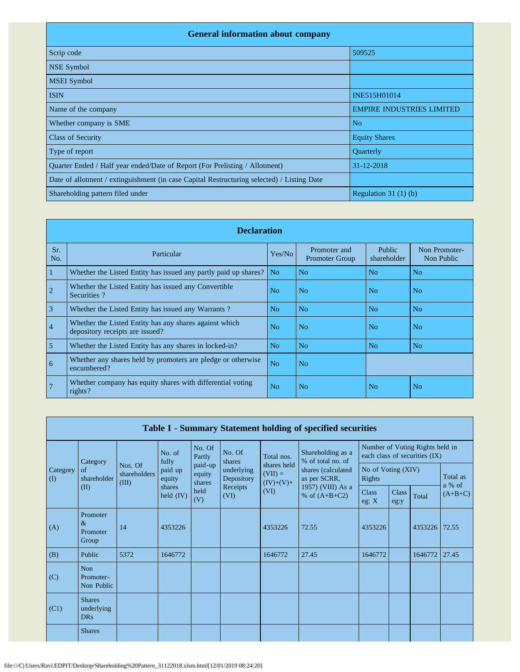| <b>General information about company</b>                                                   |                                  |
|--------------------------------------------------------------------------------------------|----------------------------------|
| Scrip code                                                                                 | 509525                           |
| <b>NSE Symbol</b>                                                                          |                                  |
| <b>MSEI</b> Symbol                                                                         |                                  |
| <b>ISIN</b>                                                                                | INE515H01014                     |
| Name of the company                                                                        | <b>EMPIRE INDUSTRIES LIMITED</b> |
| Whether company is SME                                                                     | N <sub>o</sub>                   |
| <b>Class of Security</b>                                                                   | <b>Equity Shares</b>             |
| Type of report                                                                             | Quarterly                        |
| Quarter Ended / Half year ended/Date of Report (For Prelisting / Allotment)                | 31-12-2018                       |
| Date of allotment / extinguishment (in case Capital Restructuring selected) / Listing Date |                                  |
| Shareholding pattern filed under                                                           | Regulation $31(1)(b)$            |

|                | <b>Declaration</b>                                                                        |                |                                       |                       |                             |  |  |  |  |  |  |  |  |
|----------------|-------------------------------------------------------------------------------------------|----------------|---------------------------------------|-----------------------|-----------------------------|--|--|--|--|--|--|--|--|
| Sr.<br>No.     | Particular                                                                                | Yes/No         | Promoter and<br><b>Promoter Group</b> | Public<br>shareholder | Non Promoter-<br>Non Public |  |  |  |  |  |  |  |  |
| 1              | Whether the Listed Entity has issued any partly paid up shares?                           | N <sub>o</sub> | N <sub>o</sub>                        | N <sub>o</sub>        | N <sub>o</sub>              |  |  |  |  |  |  |  |  |
| $\overline{2}$ | Whether the Listed Entity has issued any Convertible<br>Securities?                       | N <sub>0</sub> | N <sub>o</sub>                        | No.                   | No                          |  |  |  |  |  |  |  |  |
| 3              | Whether the Listed Entity has issued any Warrants?                                        | N <sub>0</sub> | N <sub>o</sub>                        | No                    | No                          |  |  |  |  |  |  |  |  |
| $\overline{4}$ | Whether the Listed Entity has any shares against which<br>depository receipts are issued? | N <sub>o</sub> | N <sub>o</sub>                        | No.                   | No.                         |  |  |  |  |  |  |  |  |
| 5              | Whether the Listed Entity has any shares in locked-in?                                    | N <sub>o</sub> | N <sub>o</sub>                        | N <sub>o</sub>        | N <sub>o</sub>              |  |  |  |  |  |  |  |  |
| 6              | Whether any shares held by promoters are pledge or otherwise<br>encumbered?               | N <sub>o</sub> | N <sub>o</sub>                        |                       |                             |  |  |  |  |  |  |  |  |
| $\sqrt{7}$     | Whether company has equity shares with differential voting<br>rights?                     | N <sub>0</sub> | N <sub>o</sub>                        | N <sub>o</sub>        | No                          |  |  |  |  |  |  |  |  |

|                      | Table I - Summary Statement holding of specified securities |                                  |                             |                             |                          |                                         |                                        |                              |                      |                                                                  |                    |  |  |
|----------------------|-------------------------------------------------------------|----------------------------------|-----------------------------|-----------------------------|--------------------------|-----------------------------------------|----------------------------------------|------------------------------|----------------------|------------------------------------------------------------------|--------------------|--|--|
|                      | Category                                                    |                                  | No. of<br>fully             | No. Of<br>Partly            | No. Of<br>shares         | Total nos.                              | Shareholding as a<br>% of total no. of |                              |                      | Number of Voting Rights held in<br>each class of securities (IX) |                    |  |  |
| Category<br>$\rm(D)$ | of<br>shareholder<br>(II)                                   | Nos. Of<br>shareholders<br>(III) | paid up<br>equity<br>shares | paid-up<br>equity<br>shares | underlying<br>Depository | shares held<br>$(VII) =$<br>$(IV)+(V)+$ | shares (calculated<br>as per SCRR,     | No of Voting (XIV)<br>Rights |                      |                                                                  | Total as<br>a % of |  |  |
|                      |                                                             |                                  | held $(IV)$                 | held<br>(V)                 | Receipts<br>(VI)         | (VI)                                    | 1957) (VIII) As a<br>% of $(A+B+C2)$   | <b>Class</b><br>eg: $X$      | <b>Class</b><br>eg:y | Total                                                            | $(A+B+C)$          |  |  |
| (A)                  | Promoter<br>$\&$<br>Promoter<br>Group                       | 14                               | 4353226                     |                             |                          | 4353226                                 | 72.55                                  | 4353226                      |                      | 4353226                                                          | 72.55              |  |  |
| (B)                  | Public                                                      | 5372                             | 1646772                     |                             |                          | 1646772                                 | 27.45                                  | 1646772                      |                      | 1646772                                                          | 27.45              |  |  |
| (C)                  | <b>Non</b><br>Promoter-<br>Non Public                       |                                  |                             |                             |                          |                                         |                                        |                              |                      |                                                                  |                    |  |  |
| (C1)                 | <b>Shares</b><br>underlying<br><b>DRs</b>                   |                                  |                             |                             |                          |                                         |                                        |                              |                      |                                                                  |                    |  |  |
|                      | <b>Shares</b>                                               |                                  |                             |                             |                          |                                         |                                        |                              |                      |                                                                  |                    |  |  |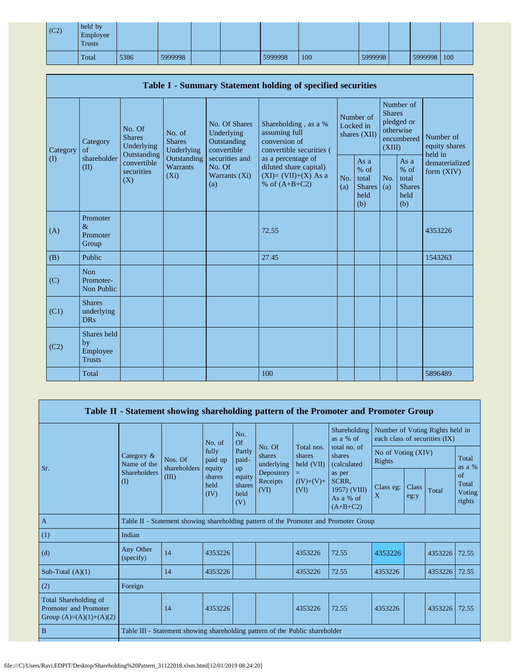| (C2) | held by<br>Employee<br>Trusts |      |         |  |         |     |         |             |  |
|------|-------------------------------|------|---------|--|---------|-----|---------|-------------|--|
|      | Total                         | 5386 | 5999998 |  | 5999998 | 100 | 5999998 | 5999998 100 |  |

| Table I - Summary Statement holding of specified securities |                                                |                                                                                                                                                                         |                                                  |                                                                                          |                                                                                    |                                                         |            |                                                                               |                                |                                       |  |  |
|-------------------------------------------------------------|------------------------------------------------|-------------------------------------------------------------------------------------------------------------------------------------------------------------------------|--------------------------------------------------|------------------------------------------------------------------------------------------|------------------------------------------------------------------------------------|---------------------------------------------------------|------------|-------------------------------------------------------------------------------|--------------------------------|---------------------------------------|--|--|
| Category<br>$\rm (I)$                                       | Category<br>of<br>shareholder<br>(II)          | No. Of<br>No. of<br><b>Shares</b><br><b>Shares</b><br>Underlying<br>Underlying<br>Outstanding<br>Outstanding<br>convertible<br>Warrants<br>securities<br>$(X_i)$<br>(X) |                                                  | No. Of Shares<br>Underlying<br>Outstanding<br>convertible                                | Shareholding, as a %<br>assuming full<br>conversion of<br>convertible securities ( | Number of<br>Locked in<br>shares (XII)                  |            | Number of<br><b>Shares</b><br>pledged or<br>otherwise<br>encumbered<br>(XIII) |                                | Number of<br>equity shares<br>held in |  |  |
|                                                             |                                                |                                                                                                                                                                         | securities and<br>No. Of<br>Warrants (Xi)<br>(a) | as a percentage of<br>diluted share capital)<br>$(XI)=(VII)+(X)$ As a<br>% of $(A+B+C2)$ | No.<br>(a)                                                                         | As a<br>$%$ of<br>total<br><b>Shares</b><br>held<br>(b) | No.<br>(a) | As a<br>% of<br>total<br><b>Shares</b><br>held<br>(b)                         | dematerialized<br>form $(XIV)$ |                                       |  |  |
| (A)                                                         | Promoter<br>$\&$<br>Promoter<br>Group          |                                                                                                                                                                         |                                                  |                                                                                          | 72.55                                                                              |                                                         |            |                                                                               |                                | 4353226                               |  |  |
| (B)                                                         | Public                                         |                                                                                                                                                                         |                                                  |                                                                                          | 27.45                                                                              |                                                         |            |                                                                               |                                | 1543263                               |  |  |
| (C)                                                         | <b>Non</b><br>Promoter-<br>Non Public          |                                                                                                                                                                         |                                                  |                                                                                          |                                                                                    |                                                         |            |                                                                               |                                |                                       |  |  |
| (C1)                                                        | <b>Shares</b><br>underlying<br><b>DRs</b>      |                                                                                                                                                                         |                                                  |                                                                                          |                                                                                    |                                                         |            |                                                                               |                                |                                       |  |  |
| (C2)                                                        | Shares held<br>by<br>Employee<br><b>Trusts</b> |                                                                                                                                                                         |                                                  |                                                                                          |                                                                                    |                                                         |            |                                                                               |                                |                                       |  |  |
|                                                             | Total                                          |                                                                                                                                                                         |                                                  |                                                                                          | 100                                                                                |                                                         |            |                                                                               |                                | 5896489                               |  |  |

|                                                                             |                           |                                                                                      |                                                      |                                                                                                                              |                                    |                                       | Table II - Statement showing shareholding pattern of the Promoter and Promoter Group |                                 |               |                               |                                 |  |
|-----------------------------------------------------------------------------|---------------------------|--------------------------------------------------------------------------------------|------------------------------------------------------|------------------------------------------------------------------------------------------------------------------------------|------------------------------------|---------------------------------------|--------------------------------------------------------------------------------------|---------------------------------|---------------|-------------------------------|---------------------------------|--|
|                                                                             |                           |                                                                                      | No. of                                               | No.<br>Of                                                                                                                    |                                    |                                       | Shareholding<br>as a $%$ of                                                          | Number of Voting Rights held in |               | each class of securities (IX) |                                 |  |
| Sr.                                                                         | Category &<br>Name of the | Nos. Of<br>shareholders<br>(III)                                                     | fully<br>paid up<br>equity<br>shares<br>held<br>(IV) | No. Of<br>Partly<br>shares<br>paid-<br>underlying<br>up<br>Depository<br>equity<br>Receipts<br>shares<br>(VI)<br>held<br>(V) | Total nos.<br>shares<br>held (VII) | total no. of<br>shares<br>(calculated | No of Voting (XIV)<br>Rights                                                         |                                 |               | Total<br>as a %               |                                 |  |
|                                                                             | Shareholders<br>$($ I)    |                                                                                      |                                                      |                                                                                                                              |                                    | $(IV)+(V)+$<br>(VI)                   | as per<br>SCRR,<br>1957) (VIII)<br>As a % of<br>$(A+B+C2)$                           | Class eg:<br>X                  | Class<br>eg:y | Total                         | of<br>Total<br>Voting<br>rights |  |
| $\overline{A}$                                                              |                           | Table II - Statement showing shareholding pattern of the Promoter and Promoter Group |                                                      |                                                                                                                              |                                    |                                       |                                                                                      |                                 |               |                               |                                 |  |
| (1)                                                                         | Indian                    |                                                                                      |                                                      |                                                                                                                              |                                    |                                       |                                                                                      |                                 |               |                               |                                 |  |
| (d)                                                                         | Any Other<br>(specify)    | 14                                                                                   | 4353226                                              |                                                                                                                              |                                    | 4353226                               | 72.55                                                                                | 4353226                         |               | 4353226                       | 72.55                           |  |
| Sub-Total $(A)(1)$                                                          |                           | 14                                                                                   | 4353226                                              |                                                                                                                              |                                    | 4353226                               | 72.55                                                                                | 4353226                         |               | 4353226                       | 72.55                           |  |
| (2)                                                                         | Foreign                   |                                                                                      |                                                      |                                                                                                                              |                                    |                                       |                                                                                      |                                 |               |                               |                                 |  |
| Total Shareholding of<br>Promoter and Promoter<br>Group $(A)=(A)(1)+(A)(2)$ |                           | 14                                                                                   | 4353226                                              |                                                                                                                              |                                    | 4353226                               | 72.55                                                                                | 4353226                         |               | 4353226                       | 72.55                           |  |
| B                                                                           |                           | Table III - Statement showing shareholding pattern of the Public shareholder         |                                                      |                                                                                                                              |                                    |                                       |                                                                                      |                                 |               |                               |                                 |  |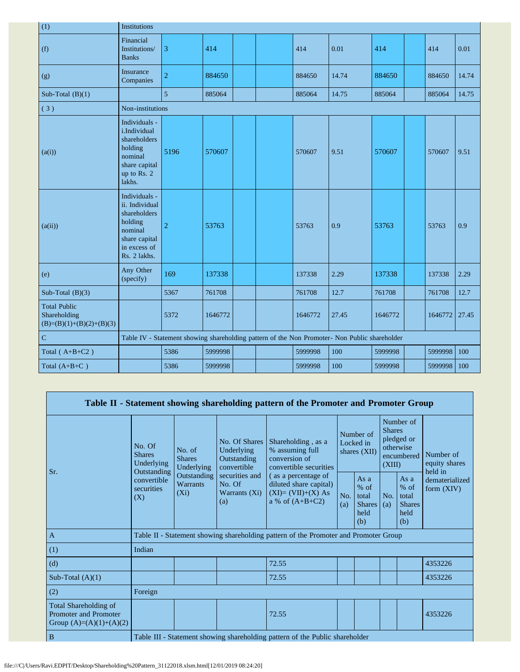| (1)                                                               | Institutions                                                                                                           |                                                                                               |         |  |  |         |       |         |  |         |       |
|-------------------------------------------------------------------|------------------------------------------------------------------------------------------------------------------------|-----------------------------------------------------------------------------------------------|---------|--|--|---------|-------|---------|--|---------|-------|
| (f)                                                               | Financial<br>Institutions/<br><b>Banks</b>                                                                             | 3                                                                                             | 414     |  |  | 414     | 0.01  | 414     |  | 414     | 0.01  |
| (g)                                                               | Insurance<br>Companies                                                                                                 | $\overline{2}$                                                                                | 884650  |  |  | 884650  | 14.74 | 884650  |  | 884650  | 14.74 |
| Sub-Total $(B)(1)$                                                |                                                                                                                        | 5                                                                                             | 885064  |  |  | 885064  | 14.75 | 885064  |  | 885064  | 14.75 |
| (3)                                                               | Non-institutions                                                                                                       |                                                                                               |         |  |  |         |       |         |  |         |       |
| (a(i))                                                            | Individuals -<br>i.Individual<br>shareholders<br>holding<br>nominal<br>share capital<br>up to Rs. 2<br>lakhs.          | 5196                                                                                          | 570607  |  |  | 570607  | 9.51  | 570607  |  | 570607  | 9.51  |
| (a(ii))                                                           | Individuals -<br>ii. Individual<br>shareholders<br>holding<br>nominal<br>share capital<br>in excess of<br>Rs. 2 lakhs. | $\overline{2}$                                                                                | 53763   |  |  | 53763   | 0.9   | 53763   |  | 53763   | 0.9   |
| (e)                                                               | Any Other<br>(specify)                                                                                                 | 169                                                                                           | 137338  |  |  | 137338  | 2.29  | 137338  |  | 137338  | 2.29  |
| Sub-Total $(B)(3)$                                                |                                                                                                                        | 5367                                                                                          | 761708  |  |  | 761708  | 12.7  | 761708  |  | 761708  | 12.7  |
| <b>Total Public</b><br>Shareholding<br>$(B)=(B)(1)+(B)(2)+(B)(3)$ |                                                                                                                        | 5372                                                                                          | 1646772 |  |  | 1646772 | 27.45 | 1646772 |  | 1646772 | 27.45 |
| $\overline{C}$                                                    |                                                                                                                        | Table IV - Statement showing shareholding pattern of the Non Promoter- Non Public shareholder |         |  |  |         |       |         |  |         |       |
| Total $(A+B+C2)$                                                  |                                                                                                                        | 5386                                                                                          | 5999998 |  |  | 5999998 | 100   | 5999998 |  | 5999998 | 100   |
| Total $(A+B+C)$                                                   |                                                                                                                        | 5386                                                                                          | 5999998 |  |  | 5999998 | 100   | 5999998 |  | 5999998 | 100   |

|     |                                                                                    |                                       |                                                           |                                                                                  | Table II - Statement showing shareholding pattern of the Promoter and Promoter Group      |            |                                                                               |            |                                                           |                                |  |
|-----|------------------------------------------------------------------------------------|---------------------------------------|-----------------------------------------------------------|----------------------------------------------------------------------------------|-------------------------------------------------------------------------------------------|------------|-------------------------------------------------------------------------------|------------|-----------------------------------------------------------|--------------------------------|--|
| Sr. | No. Of<br><b>Shares</b><br>Underlying<br>Outstanding                               | No. of<br><b>Shares</b><br>Underlying | No. Of Shares<br>Underlying<br>Outstanding<br>convertible | Shareholding, as a<br>% assuming full<br>conversion of<br>convertible securities | Number of<br>Locked in<br>shares (XII)                                                    |            | Number of<br><b>Shares</b><br>pledged or<br>otherwise<br>encumbered<br>(XIII) |            | Number of<br>equity shares<br>held in                     |                                |  |
|     |                                                                                    | convertible<br>securities<br>(X)      | Outstanding<br><b>Warrants</b><br>$(X_i)$                 | securities and<br>No. Of<br>Warrants (Xi)<br>(a)                                 | (as a percentage of<br>diluted share capital)<br>$(XI)=(VII)+(X) As$<br>a % of $(A+B+C2)$ | No.<br>(a) | As $a$<br>$%$ of<br>total<br><b>Shares</b><br>held<br>(b)                     | No.<br>(a) | As $a$<br>$%$ of<br>total<br><b>Shares</b><br>held<br>(b) | dematerialized<br>form $(XIV)$ |  |
|     | $\mathbf{A}$                                                                       |                                       |                                                           |                                                                                  | Table II - Statement showing shareholding pattern of the Promoter and Promoter Group      |            |                                                                               |            |                                                           |                                |  |
|     | (1)                                                                                | Indian                                |                                                           |                                                                                  |                                                                                           |            |                                                                               |            |                                                           |                                |  |
|     | (d)                                                                                |                                       |                                                           |                                                                                  | 72.55                                                                                     |            |                                                                               |            |                                                           | 4353226                        |  |
|     | Sub-Total $(A)(1)$                                                                 |                                       |                                                           |                                                                                  | 72.55                                                                                     |            |                                                                               |            |                                                           | 4353226                        |  |
|     | (2)                                                                                | Foreign                               |                                                           |                                                                                  |                                                                                           |            |                                                                               |            |                                                           |                                |  |
|     | Total Shareholding of<br><b>Promoter and Promoter</b><br>Group $(A)=(A)(1)+(A)(2)$ |                                       |                                                           |                                                                                  | 72.55                                                                                     |            |                                                                               |            |                                                           | 4353226                        |  |
|     | B                                                                                  |                                       |                                                           |                                                                                  | Table III - Statement showing shareholding pattern of the Public shareholder              |            |                                                                               |            |                                                           |                                |  |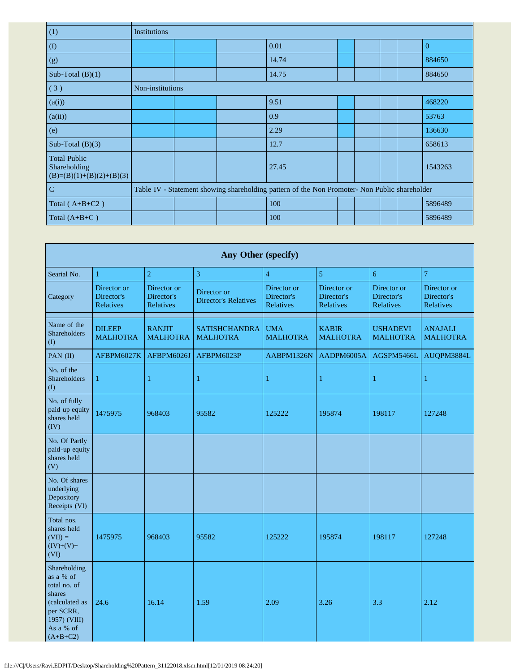| (1)                                                               | Institutions     |  |                                                                                               |  |  |                |
|-------------------------------------------------------------------|------------------|--|-----------------------------------------------------------------------------------------------|--|--|----------------|
| (f)                                                               |                  |  | 0.01                                                                                          |  |  | $\overline{0}$ |
| (g)                                                               |                  |  | 14.74                                                                                         |  |  | 884650         |
| Sub-Total $(B)(1)$                                                |                  |  | 14.75                                                                                         |  |  | 884650         |
| (3)                                                               | Non-institutions |  |                                                                                               |  |  |                |
| (a(i))                                                            |                  |  | 9.51                                                                                          |  |  | 468220         |
| (a(ii))                                                           |                  |  | 0.9                                                                                           |  |  | 53763          |
| (e)                                                               |                  |  | 2.29                                                                                          |  |  | 136630         |
| Sub-Total $(B)(3)$                                                |                  |  | 12.7                                                                                          |  |  | 658613         |
| <b>Total Public</b><br>Shareholding<br>$(B)=(B)(1)+(B)(2)+(B)(3)$ |                  |  | 27.45                                                                                         |  |  | 1543263        |
| $\mathbf C$                                                       |                  |  | Table IV - Statement showing shareholding pattern of the Non Promoter- Non Public shareholder |  |  |                |
| Total $(A+B+C2)$                                                  |                  |  | 100                                                                                           |  |  | 5896489        |
| Total $(A+B+C)$                                                   |                  |  | 100                                                                                           |  |  | 5896489        |

| Any Other (specify)                                                                                                           |                                        |                                        |                                            |                                        |                                        |                                        |                                        |  |  |  |  |  |
|-------------------------------------------------------------------------------------------------------------------------------|----------------------------------------|----------------------------------------|--------------------------------------------|----------------------------------------|----------------------------------------|----------------------------------------|----------------------------------------|--|--|--|--|--|
| Searial No.                                                                                                                   | 1                                      | $\overline{2}$                         | 3                                          | $\overline{4}$                         | 5                                      | 6                                      | 7                                      |  |  |  |  |  |
| Category                                                                                                                      | Director or<br>Director's<br>Relatives | Director or<br>Director's<br>Relatives | Director or<br><b>Director's Relatives</b> | Director or<br>Director's<br>Relatives | Director or<br>Director's<br>Relatives | Director or<br>Director's<br>Relatives | Director or<br>Director's<br>Relatives |  |  |  |  |  |
| Name of the<br>Shareholders<br>(1)                                                                                            | <b>DILEEP</b><br><b>MALHOTRA</b>       | <b>RANJIT</b><br><b>MALHOTRA</b>       | <b>SATISHCHANDRA</b><br><b>MALHOTRA</b>    | <b>UMA</b><br><b>MALHOTRA</b>          | <b>KABIR</b><br><b>MALHOTRA</b>        | <b>USHADEVI</b><br><b>MALHOTRA</b>     | <b>ANAJALI</b><br><b>MALHOTRA</b>      |  |  |  |  |  |
| PAN (II)                                                                                                                      | AFBPM6027K                             | AFBPM6026J                             | AFBPM6023P                                 | AABPM1326N                             | AADPM6005A                             | AGSPM5466L                             | AUQPM3884L                             |  |  |  |  |  |
| No. of the<br><b>Shareholders</b><br>(I)                                                                                      | $\mathbf{1}$                           | $\mathbf{1}$                           | $\mathbf{1}$                               | $\mathbf{1}$                           | 1                                      | 1                                      | $\mathbf{1}$                           |  |  |  |  |  |
| No. of fully<br>paid up equity<br>shares held<br>(IV)                                                                         | 1475975                                | 968403                                 | 95582                                      | 125222                                 | 195874                                 | 198117                                 | 127248                                 |  |  |  |  |  |
| No. Of Partly<br>paid-up equity<br>shares held<br>(V)                                                                         |                                        |                                        |                                            |                                        |                                        |                                        |                                        |  |  |  |  |  |
| No. Of shares<br>underlying<br>Depository<br>Receipts (VI)                                                                    |                                        |                                        |                                            |                                        |                                        |                                        |                                        |  |  |  |  |  |
| Total nos.<br>shares held<br>$(VII) =$<br>$(IV)+(V)+$<br>(VI)                                                                 | 1475975                                | 968403                                 | 95582                                      | 125222                                 | 195874                                 | 198117                                 | 127248                                 |  |  |  |  |  |
| Shareholding<br>as a % of<br>total no. of<br>shares<br>(calculated as<br>per SCRR,<br>1957) (VIII)<br>As a % of<br>$(A+B+C2)$ | 24.6                                   | 16.14                                  | 1.59                                       | 2.09                                   | 3.26                                   | 3.3                                    | 2.12                                   |  |  |  |  |  |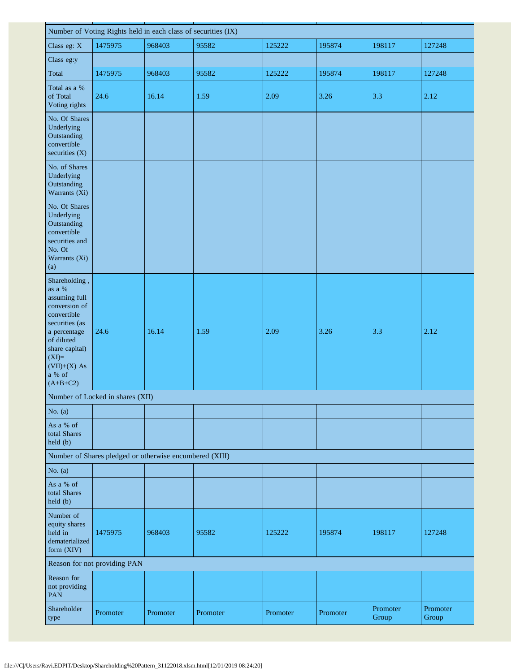| Number of Voting Rights held in each class of securities (IX)                                                                                                                                   |                                                         |          |          |          |          |                   |                   |  |  |  |  |
|-------------------------------------------------------------------------------------------------------------------------------------------------------------------------------------------------|---------------------------------------------------------|----------|----------|----------|----------|-------------------|-------------------|--|--|--|--|
| Class eg: X                                                                                                                                                                                     | 1475975                                                 | 968403   | 95582    | 125222   | 195874   | 198117            | 127248            |  |  |  |  |
| Class eg:y                                                                                                                                                                                      |                                                         |          |          |          |          |                   |                   |  |  |  |  |
| Total                                                                                                                                                                                           | 1475975                                                 | 968403   | 95582    | 125222   | 195874   | 198117            | 127248            |  |  |  |  |
| Total as a %<br>of Total<br>Voting rights                                                                                                                                                       | 24.6                                                    | 16.14    | 1.59     | 2.09     | 3.26     | 3.3               | 2.12              |  |  |  |  |
| No. Of Shares<br>Underlying<br>Outstanding<br>convertible<br>securities (X)                                                                                                                     |                                                         |          |          |          |          |                   |                   |  |  |  |  |
| No. of Shares<br>Underlying<br>Outstanding<br>Warrants (Xi)                                                                                                                                     |                                                         |          |          |          |          |                   |                   |  |  |  |  |
| No. Of Shares<br>Underlying<br>Outstanding<br>convertible<br>securities and<br>No. Of<br>Warrants (Xi)<br>(a)                                                                                   |                                                         |          |          |          |          |                   |                   |  |  |  |  |
| Shareholding,<br>as a %<br>assuming full<br>conversion of<br>convertible<br>securities (as<br>a percentage<br>of diluted<br>share capital)<br>$(XI)=$<br>$(VII)+(X)$ As<br>a % of<br>$(A+B+C2)$ | 24.6                                                    | 16.14    | 1.59     | 2.09     | 3.26     | 3.3               | 2.12              |  |  |  |  |
|                                                                                                                                                                                                 | Number of Locked in shares (XII)                        |          |          |          |          |                   |                   |  |  |  |  |
| No. $(a)$                                                                                                                                                                                       |                                                         |          |          |          |          |                   |                   |  |  |  |  |
| As a % of<br>total Shares<br>held(b)                                                                                                                                                            |                                                         |          |          |          |          |                   |                   |  |  |  |  |
|                                                                                                                                                                                                 | Number of Shares pledged or otherwise encumbered (XIII) |          |          |          |          |                   |                   |  |  |  |  |
| No. $(a)$                                                                                                                                                                                       |                                                         |          |          |          |          |                   |                   |  |  |  |  |
| As a % of<br>total Shares<br>held (b)                                                                                                                                                           |                                                         |          |          |          |          |                   |                   |  |  |  |  |
| Number of<br>equity shares<br>held in<br>dematerialized<br>form (XIV)                                                                                                                           | 1475975                                                 | 968403   | 95582    | 125222   | 195874   | 198117            | 127248            |  |  |  |  |
|                                                                                                                                                                                                 | Reason for not providing PAN                            |          |          |          |          |                   |                   |  |  |  |  |
| Reason for<br>not providing<br><b>PAN</b>                                                                                                                                                       |                                                         |          |          |          |          |                   |                   |  |  |  |  |
| Shareholder<br>type                                                                                                                                                                             | Promoter                                                | Promoter | Promoter | Promoter | Promoter | Promoter<br>Group | Promoter<br>Group |  |  |  |  |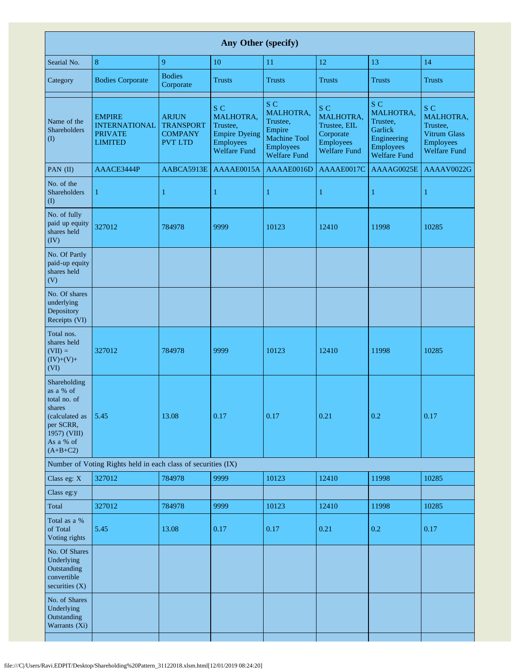| Any Other (specify)                                                                                                           |                                                                           |                                                                      |                                                                                                 |                                                                                                          |                                                                                          |                                                                                                   |                                                                                         |  |  |  |  |  |
|-------------------------------------------------------------------------------------------------------------------------------|---------------------------------------------------------------------------|----------------------------------------------------------------------|-------------------------------------------------------------------------------------------------|----------------------------------------------------------------------------------------------------------|------------------------------------------------------------------------------------------|---------------------------------------------------------------------------------------------------|-----------------------------------------------------------------------------------------|--|--|--|--|--|
| Searial No.                                                                                                                   | 8                                                                         | 9                                                                    | 10                                                                                              | 11                                                                                                       | 12                                                                                       | 13                                                                                                | 14                                                                                      |  |  |  |  |  |
| Category                                                                                                                      | <b>Bodies Corporate</b>                                                   | <b>Bodies</b><br>Corporate                                           | <b>Trusts</b>                                                                                   | <b>Trusts</b>                                                                                            | <b>Trusts</b>                                                                            | <b>Trusts</b>                                                                                     | <b>Trusts</b>                                                                           |  |  |  |  |  |
| Name of the<br>Shareholders<br>(1)                                                                                            | <b>EMPIRE</b><br><b>INTERNATIONAL</b><br><b>PRIVATE</b><br><b>LIMITED</b> | <b>ARJUN</b><br><b>TRANSPORT</b><br><b>COMPANY</b><br><b>PVT LTD</b> | S C<br>MALHOTRA,<br>Trustee,<br><b>Empire Dyeing</b><br><b>Employees</b><br><b>Welfare Fund</b> | S C<br>MALHOTRA,<br>Trustee,<br>Empire<br><b>Machine Tool</b><br><b>Employees</b><br><b>Welfare Fund</b> | S C<br>MALHOTRA,<br>Trustee, EIL<br>Corporate<br><b>Employees</b><br><b>Welfare Fund</b> | S C<br>MALHOTRA,<br>Trustee,<br>Garlick<br>Engineering<br><b>Employees</b><br><b>Welfare Fund</b> | S C<br>MALHOTRA,<br>Trustee.<br>Vitrum Glass<br><b>Employees</b><br><b>Welfare Fund</b> |  |  |  |  |  |
| PAN (II)                                                                                                                      | AAACE3444P                                                                | AABCA5913E                                                           | AAAAE0015A                                                                                      | AAAAE0016D                                                                                               | AAAAE0017C                                                                               | AAAAG0025E                                                                                        | AAAAV0022G                                                                              |  |  |  |  |  |
| No. of the<br>Shareholders<br>$\rm (I)$                                                                                       | $\mathbf{1}$                                                              | $\mathbf{1}$                                                         | $\mathbf{1}$                                                                                    | 1                                                                                                        | 1                                                                                        | 1                                                                                                 | 1                                                                                       |  |  |  |  |  |
| No. of fully<br>paid up equity<br>shares held<br>(IV)                                                                         | 327012                                                                    | 784978                                                               | 9999                                                                                            | 10123                                                                                                    | 12410                                                                                    | 11998                                                                                             | 10285                                                                                   |  |  |  |  |  |
| No. Of Partly<br>paid-up equity<br>shares held<br>(V)                                                                         |                                                                           |                                                                      |                                                                                                 |                                                                                                          |                                                                                          |                                                                                                   |                                                                                         |  |  |  |  |  |
| No. Of shares<br>underlying<br>Depository<br>Receipts (VI)                                                                    |                                                                           |                                                                      |                                                                                                 |                                                                                                          |                                                                                          |                                                                                                   |                                                                                         |  |  |  |  |  |
| Total nos.<br>shares held<br>$(VII) =$<br>$(IV)+(V)+$<br>(VI)                                                                 | 327012                                                                    | 784978                                                               | 9999                                                                                            | 10123                                                                                                    | 12410                                                                                    | 11998                                                                                             | 10285                                                                                   |  |  |  |  |  |
| Shareholding<br>as a % of<br>total no. of<br>shares<br>(calculated as<br>per SCRR,<br>1957) (VIII)<br>As a % of<br>$(A+B+C2)$ | 5.45                                                                      | 13.08                                                                | 0.17                                                                                            | 0.17                                                                                                     | 0.21                                                                                     | 0.2                                                                                               | 0.17                                                                                    |  |  |  |  |  |
|                                                                                                                               | Number of Voting Rights held in each class of securities (IX)             |                                                                      |                                                                                                 |                                                                                                          |                                                                                          |                                                                                                   |                                                                                         |  |  |  |  |  |
| Class eg: X                                                                                                                   | 327012                                                                    | 784978                                                               | 9999                                                                                            | 10123                                                                                                    | 12410                                                                                    | 11998                                                                                             | 10285                                                                                   |  |  |  |  |  |
| Class eg:y                                                                                                                    |                                                                           |                                                                      |                                                                                                 |                                                                                                          |                                                                                          |                                                                                                   |                                                                                         |  |  |  |  |  |
| Total                                                                                                                         | 327012                                                                    | 784978                                                               | 9999                                                                                            | 10123                                                                                                    | 12410                                                                                    | 11998                                                                                             | 10285                                                                                   |  |  |  |  |  |
| Total as a %<br>of Total<br>Voting rights                                                                                     | 5.45                                                                      | 13.08                                                                | 0.17                                                                                            | 0.17                                                                                                     | 0.21                                                                                     | 0.2                                                                                               | 0.17                                                                                    |  |  |  |  |  |
| No. Of Shares<br>Underlying<br>Outstanding<br>convertible<br>securities $(X)$                                                 |                                                                           |                                                                      |                                                                                                 |                                                                                                          |                                                                                          |                                                                                                   |                                                                                         |  |  |  |  |  |
| No. of Shares<br>Underlying<br>Outstanding<br>Warrants (Xi)                                                                   |                                                                           |                                                                      |                                                                                                 |                                                                                                          |                                                                                          |                                                                                                   |                                                                                         |  |  |  |  |  |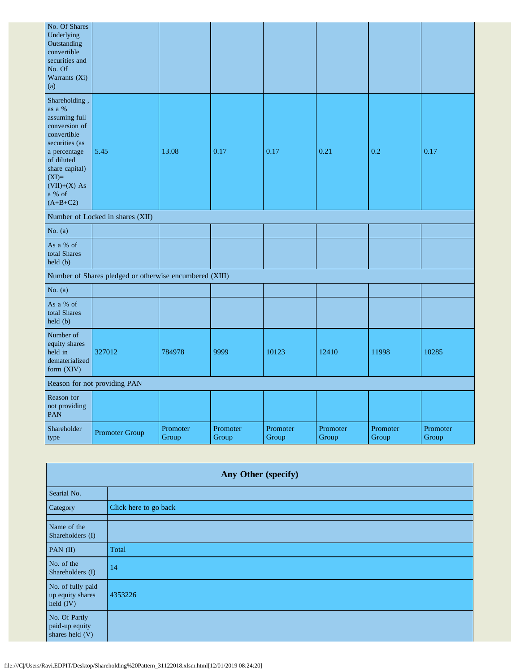| No. Of Shares<br>Underlying<br>Outstanding<br>convertible<br>securities and<br>No. Of<br>Warrants (Xi)<br>(a)                                                                                      |                                                         |                   |                   |                   |                   |                   |                   |
|----------------------------------------------------------------------------------------------------------------------------------------------------------------------------------------------------|---------------------------------------------------------|-------------------|-------------------|-------------------|-------------------|-------------------|-------------------|
| Shareholding,<br>as a $\%$<br>assuming full<br>conversion of<br>convertible<br>securities (as<br>a percentage<br>of diluted<br>share capital)<br>$(XI)=$<br>$(VII)+(X)$ As<br>a % of<br>$(A+B+C2)$ | 5.45                                                    | 13.08             | 0.17              | 0.17              | 0.21              | 0.2               | 0.17              |
|                                                                                                                                                                                                    | Number of Locked in shares (XII)                        |                   |                   |                   |                   |                   |                   |
| No. $(a)$                                                                                                                                                                                          |                                                         |                   |                   |                   |                   |                   |                   |
| As a % of<br>total Shares<br>held (b)                                                                                                                                                              |                                                         |                   |                   |                   |                   |                   |                   |
|                                                                                                                                                                                                    | Number of Shares pledged or otherwise encumbered (XIII) |                   |                   |                   |                   |                   |                   |
| No. $(a)$                                                                                                                                                                                          |                                                         |                   |                   |                   |                   |                   |                   |
| As a % of<br>total Shares<br>held (b)                                                                                                                                                              |                                                         |                   |                   |                   |                   |                   |                   |
| Number of<br>equity shares<br>held in<br>dematerialized<br>form (XIV)                                                                                                                              | 327012                                                  | 784978            | 9999              | 10123             | 12410             | 11998             | 10285             |
| Reason for not providing PAN                                                                                                                                                                       |                                                         |                   |                   |                   |                   |                   |                   |
| Reason for<br>not providing<br>PAN                                                                                                                                                                 |                                                         |                   |                   |                   |                   |                   |                   |
| Shareholder<br>type                                                                                                                                                                                | Promoter Group                                          | Promoter<br>Group | Promoter<br>Group | Promoter<br>Group | Promoter<br>Group | Promoter<br>Group | Promoter<br>Group |

| Any Other (specify)                                |                       |  |  |  |
|----------------------------------------------------|-----------------------|--|--|--|
| Searial No.                                        |                       |  |  |  |
| Category                                           | Click here to go back |  |  |  |
| Name of the<br>Shareholders (I)                    |                       |  |  |  |
| PAN $(II)$                                         | Total                 |  |  |  |
| No. of the<br>Shareholders (I)                     | 14                    |  |  |  |
| No. of fully paid<br>up equity shares<br>held (IV) | 4353226               |  |  |  |
| No. Of Partly<br>paid-up equity<br>shares held (V) |                       |  |  |  |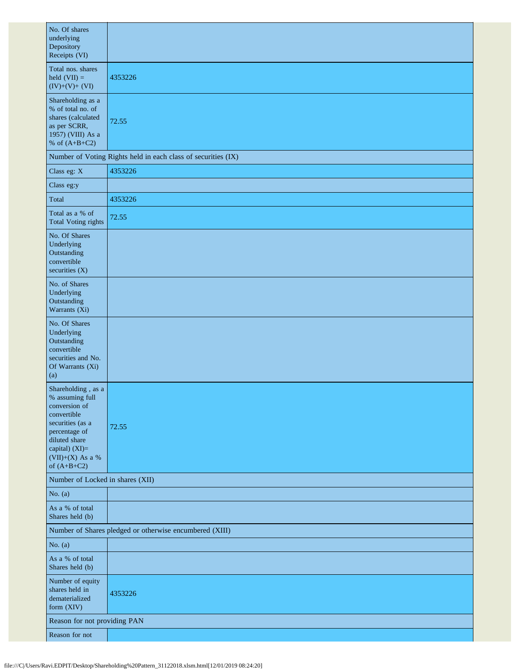| No. Of shares<br>underlying<br>Depository<br>Receipts (VI)                                                                                                                           |                                                               |  |  |  |  |  |
|--------------------------------------------------------------------------------------------------------------------------------------------------------------------------------------|---------------------------------------------------------------|--|--|--|--|--|
| Total nos. shares<br>held $(VII) =$<br>$(IV)+(V)+(VI)$                                                                                                                               | 4353226                                                       |  |  |  |  |  |
| Shareholding as a<br>% of total no. of<br>shares (calculated<br>as per SCRR,<br>1957) (VIII) As a<br>% of $(A+B+C2)$                                                                 | 72.55                                                         |  |  |  |  |  |
|                                                                                                                                                                                      | Number of Voting Rights held in each class of securities (IX) |  |  |  |  |  |
| Class eg: X                                                                                                                                                                          | 4353226                                                       |  |  |  |  |  |
| Class eg:y                                                                                                                                                                           |                                                               |  |  |  |  |  |
| Total                                                                                                                                                                                | 4353226                                                       |  |  |  |  |  |
| Total as a % of<br><b>Total Voting rights</b>                                                                                                                                        | 72.55                                                         |  |  |  |  |  |
| No. Of Shares<br>Underlying<br>Outstanding<br>convertible<br>securities $(X)$                                                                                                        |                                                               |  |  |  |  |  |
| No. of Shares<br>Underlying<br>Outstanding<br>Warrants (Xi)                                                                                                                          |                                                               |  |  |  |  |  |
| No. Of Shares<br>Underlying<br>Outstanding<br>convertible<br>securities and No.<br>Of Warrants (Xi)<br>(a)                                                                           |                                                               |  |  |  |  |  |
| Shareholding, as a<br>% assuming full<br>conversion of<br>convertible<br>securities (as a<br>percentage of<br>diluted share<br>capital) (XI)=<br>$(VII)+(X)$ As a %<br>of $(A+B+C2)$ | 72.55                                                         |  |  |  |  |  |
| Number of Locked in shares (XII)                                                                                                                                                     |                                                               |  |  |  |  |  |
| No. $(a)$                                                                                                                                                                            |                                                               |  |  |  |  |  |
| As a % of total<br>Shares held (b)                                                                                                                                                   |                                                               |  |  |  |  |  |
|                                                                                                                                                                                      | Number of Shares pledged or otherwise encumbered (XIII)       |  |  |  |  |  |
| No. $(a)$                                                                                                                                                                            |                                                               |  |  |  |  |  |
| As a % of total<br>Shares held (b)                                                                                                                                                   |                                                               |  |  |  |  |  |
| Number of equity<br>shares held in<br>dematerialized<br>form (XIV)                                                                                                                   | 4353226                                                       |  |  |  |  |  |
| Reason for not providing PAN                                                                                                                                                         |                                                               |  |  |  |  |  |
| Reason for not                                                                                                                                                                       |                                                               |  |  |  |  |  |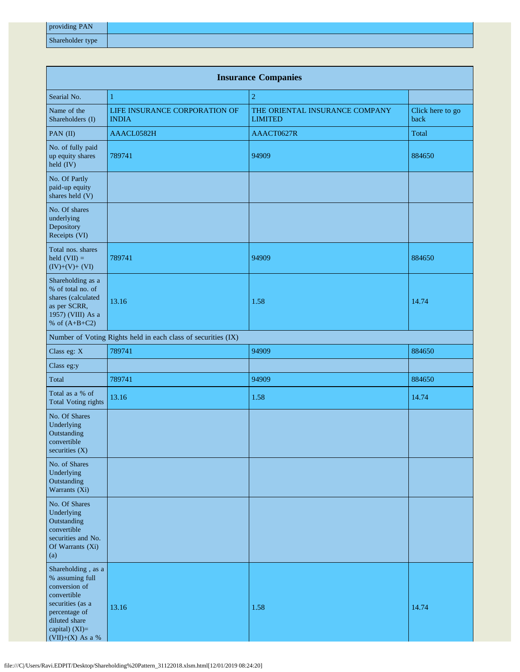| providing PAN    |  |
|------------------|--|
| Shareholder type |  |

| <b>Insurance Companies</b>                                                                                                                                        |                                                               |                                                  |                          |  |  |  |
|-------------------------------------------------------------------------------------------------------------------------------------------------------------------|---------------------------------------------------------------|--------------------------------------------------|--------------------------|--|--|--|
| Searial No.                                                                                                                                                       | $\mathbf{1}$                                                  | $\overline{2}$                                   |                          |  |  |  |
| Name of the<br>Shareholders (I)                                                                                                                                   | LIFE INSURANCE CORPORATION OF<br><b>INDIA</b>                 | THE ORIENTAL INSURANCE COMPANY<br><b>LIMITED</b> | Click here to go<br>back |  |  |  |
| PAN (II)                                                                                                                                                          | AAACL0582H                                                    | AAACT0627R                                       | Total                    |  |  |  |
| No. of fully paid<br>up equity shares<br>held (IV)                                                                                                                | 789741                                                        | 94909                                            | 884650                   |  |  |  |
| No. Of Partly<br>paid-up equity<br>shares held (V)                                                                                                                |                                                               |                                                  |                          |  |  |  |
| No. Of shares<br>underlying<br>Depository<br>Receipts (VI)                                                                                                        |                                                               |                                                  |                          |  |  |  |
| Total nos. shares<br>held $(VII) =$<br>$(IV)+(V)+(VI)$                                                                                                            | 789741                                                        | 94909                                            | 884650                   |  |  |  |
| Shareholding as a<br>% of total no. of<br>shares (calculated<br>as per SCRR,<br>1957) (VIII) As a<br>% of $(A+B+C2)$                                              | 13.16                                                         | 1.58                                             | 14.74                    |  |  |  |
|                                                                                                                                                                   | Number of Voting Rights held in each class of securities (IX) |                                                  |                          |  |  |  |
| Class eg: X                                                                                                                                                       | 789741                                                        | 94909                                            | 884650                   |  |  |  |
| Class eg:y                                                                                                                                                        |                                                               |                                                  |                          |  |  |  |
| Total                                                                                                                                                             | 789741                                                        | 94909                                            | 884650                   |  |  |  |
| Total as a % of<br><b>Total Voting rights</b>                                                                                                                     | 13.16                                                         | 1.58                                             | 14.74                    |  |  |  |
| No. Of Shares<br>Underlying<br>Outstanding<br>convertible<br>securities (X)                                                                                       |                                                               |                                                  |                          |  |  |  |
| No. of Shares<br>Underlying<br>Outstanding<br>Warrants (Xi)                                                                                                       |                                                               |                                                  |                          |  |  |  |
| No. Of Shares<br>Underlying<br>Outstanding<br>convertible<br>securities and No.<br>Of Warrants (Xi)<br>(a)                                                        |                                                               |                                                  |                          |  |  |  |
| Shareholding, as a<br>% assuming full<br>conversion of<br>convertible<br>securities (as a<br>percentage of<br>diluted share<br>capital) (XI)=<br>(VII)+(X) As a % | 13.16                                                         | 1.58                                             | 14.74                    |  |  |  |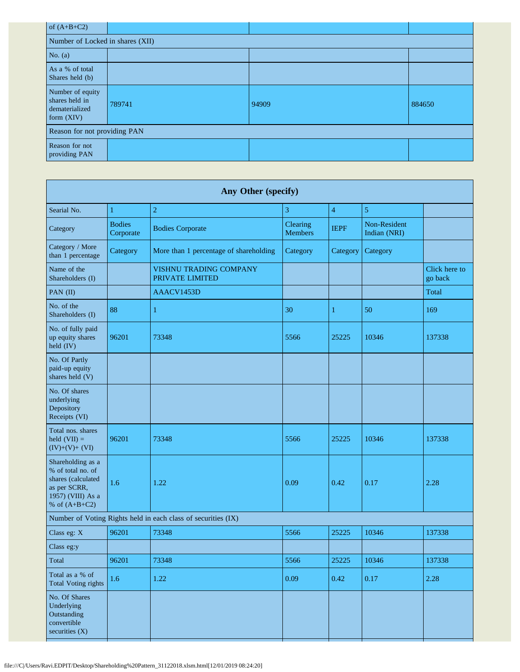| of $(A+B+C2)$                                                      |        |       |        |  |  |  |
|--------------------------------------------------------------------|--------|-------|--------|--|--|--|
| Number of Locked in shares (XII)                                   |        |       |        |  |  |  |
| No. $(a)$                                                          |        |       |        |  |  |  |
| As a % of total<br>Shares held (b)                                 |        |       |        |  |  |  |
| Number of equity<br>shares held in<br>dematerialized<br>form (XIV) | 789741 | 94909 | 884650 |  |  |  |
| Reason for not providing PAN                                       |        |       |        |  |  |  |
| Reason for not<br>providing PAN                                    |        |       |        |  |  |  |

| Any Other (specify)                                                                                                  |                            |                                                               |                            |                |                              |                          |
|----------------------------------------------------------------------------------------------------------------------|----------------------------|---------------------------------------------------------------|----------------------------|----------------|------------------------------|--------------------------|
| Searial No.                                                                                                          | $\mathbf{1}$               | $\overline{2}$                                                | 3                          | $\overline{4}$ | $\mathfrak{S}$               |                          |
| Category                                                                                                             | <b>Bodies</b><br>Corporate | <b>Bodies Corporate</b>                                       | Clearing<br><b>Members</b> | <b>IEPF</b>    | Non-Resident<br>Indian (NRI) |                          |
| Category / More<br>than 1 percentage                                                                                 | Category                   | More than 1 percentage of shareholding                        | Category                   | Category       | Category                     |                          |
| Name of the<br>Shareholders (I)                                                                                      |                            | VISHNU TRADING COMPANY<br>PRIVATE LIMITED                     |                            |                |                              | Click here to<br>go back |
| PAN (II)                                                                                                             |                            | AAACV1453D                                                    |                            |                |                              | Total                    |
| No. of the<br>Shareholders (I)                                                                                       | 88                         | 1                                                             | 30                         | 1              | 50                           | 169                      |
| No. of fully paid<br>up equity shares<br>held (IV)                                                                   | 96201                      | 73348                                                         | 5566                       | 25225          | 10346                        | 137338                   |
| No. Of Partly<br>paid-up equity<br>shares held (V)                                                                   |                            |                                                               |                            |                |                              |                          |
| No. Of shares<br>underlying<br>Depository<br>Receipts (VI)                                                           |                            |                                                               |                            |                |                              |                          |
| Total nos. shares<br>held $(VII) =$<br>$(IV)+(V)+(VI)$                                                               | 96201                      | 73348                                                         | 5566                       | 25225          | 10346                        | 137338                   |
| Shareholding as a<br>% of total no. of<br>shares (calculated<br>as per SCRR,<br>1957) (VIII) As a<br>% of $(A+B+C2)$ | 1.6                        | 1.22                                                          | 0.09                       | 0.42           | 0.17                         | 2.28                     |
|                                                                                                                      |                            | Number of Voting Rights held in each class of securities (IX) |                            |                |                              |                          |
| Class eg: X                                                                                                          | 96201                      | 73348                                                         | 5566                       | 25225          | 10346                        | 137338                   |
| Class eg:y                                                                                                           |                            |                                                               |                            |                |                              |                          |
| Total                                                                                                                | 96201                      | 73348                                                         | 5566                       | 25225          | 10346                        | 137338                   |
| Total as a % of<br><b>Total Voting rights</b>                                                                        | 1.6                        | 1.22                                                          | 0.09                       | 0.42           | 0.17                         | 2.28                     |
| No. Of Shares<br>Underlying<br>Outstanding<br>convertible<br>securities (X)                                          |                            |                                                               |                            |                |                              |                          |